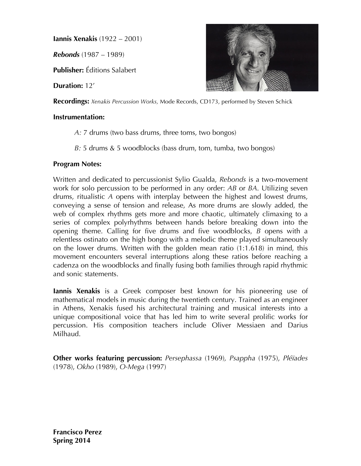**Iannis Xenakis** (1922 – 2001)

*Rebonds* (1987 – 1989)

**Publisher:** Éditions Salabert

**Duration:** 12'

**Recordings:** *Xenakis Percussion Works,* Mode Records, CD173, performed by Steven Schick

### **Instrumentation:**

*A:* 7 drums (two bass drums, three toms, two bongos)

*B:* 5 drums & 5 woodblocks (bass drum, tom, tumba, two bongos)

### **Program Notes:**

Written and dedicated to percussionist Sylio Gualda, *Rebonds* is a two-movement work for solo percussion to be performed in any order: *AB* or *BA*. Utilizing seven drums, ritualistic *A* opens with interplay between the highest and lowest drums, conveying a sense of tension and release, As more drums are slowly added, the web of complex rhythms gets more and more chaotic, ultimately climaxing to a series of complex polyrhythms between hands before breaking down into the opening theme. Calling for five drums and five woodblocks, *B* opens with a relentless ostinato on the high bongo with a melodic theme played simultaneously on the lower drums. Written with the golden mean ratio (1:1.618) in mind, this movement encounters several interruptions along these ratios before reaching a cadenza on the woodblocks and finally fusing both families through rapid rhythmic and sonic statements.

**Iannis Xenakis** is a Greek composer best known for his pioneering use of mathematical models in music during the twentieth century. Trained as an engineer in Athens, Xenakis fused his architectural training and musical interests into a unique compositional voice that has led him to write several prolific works for percussion. His composition teachers include Oliver Messiaen and Darius Milhaud.

**Other works featuring percussion:** *Persephassa* (1969)*, Psappha* (1975), *Pléïades* (1978), *Okho* (1989), *O-Mega* (1997)

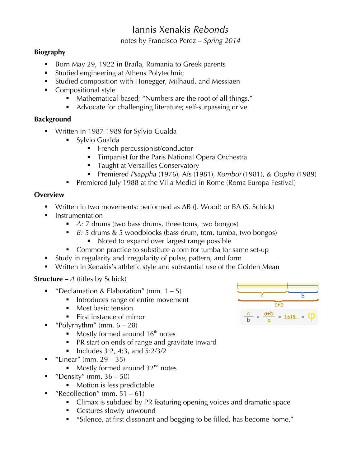# Iannis Xenakis *Rebonds*

notes by Francisco Perez – *Spring 2014*

## **Biography**

- Born May 29, 1922 in Braïla, Romania to Greek parents
- ! Studied engineering at Athens Polytechnic
- ! Studied composition with Honegger, Milhaud, and Messiaen
- Compositional style
	- ! Mathematical-based; "Numbers are the root of all things."
	- Advocate for challenging literature; self-surpassing drive

## **Background**

- ! Written in 1987-1989 for Sylvio Gualda
	- Sylvio Gualda
		- **Exercise** French percussionist/conductor
		- **Timpanist for the Paris National Opera Orchestra**
		- **Taught at Versailles Conservatory**
		- ! Premiered *Psappha* (1976)*,* Aïs (1981), *Komboï* (1981), & *Oopha* (1989)
	- **Premiered July 1988 at the Villa Medici in Rome (Roma Europa Festival)**

## **Overview**

- ! Written in two movements: performed as AB (J. Wood) or BA (S. Schick)
- **E** Instrumentation
	- ! *A:* 7 drums (two bass drums, three toms, two bongos)
	- ! *B:* 5 drums & 5 woodblocks (bass drum, tom, tumba, two bongos) ■ Noted to expand over largest range possible
	- Common practice to substitute a tom for tumba for same set-up
- ! Study in regularity and irregularity of pulse, pattern, and form
- ! Written in Xenakis's athletic style and substantial use of the Golden Mean

## **Structure –** *A* (titles by Schick)

- **•** "Declamation & Elaboration" (mm.  $1 5$ )
	- **I Introduces range of entire movement**
	- Most basic tension
	- First instance of mirror
	- "Polyrhythm" (mm.  $6 28$ )
		- $\blacksquare$  Mostly formed around 16<sup>th</sup> notes
		- PR start on ends of range and gravitate inward
		- $\blacksquare$  Includes 3:2, 4:3, and 5:2/3/2
- "Linear" (mm.  $29 35$ )
	- $\blacksquare$  Mostly formed around 32<sup>nd</sup> notes
- **•** "Density" (mm.  $36 50$ )
	- Motion is less predictable
- "Recollection" (mm.  $51 61$ )
	- ! Climax is subdued by PR featuring opening voices and dramatic space
	- **EXECUTE:** Gestures slowly unwound
	- ! "Silence, at first dissonant and begging to be filled, has become home."